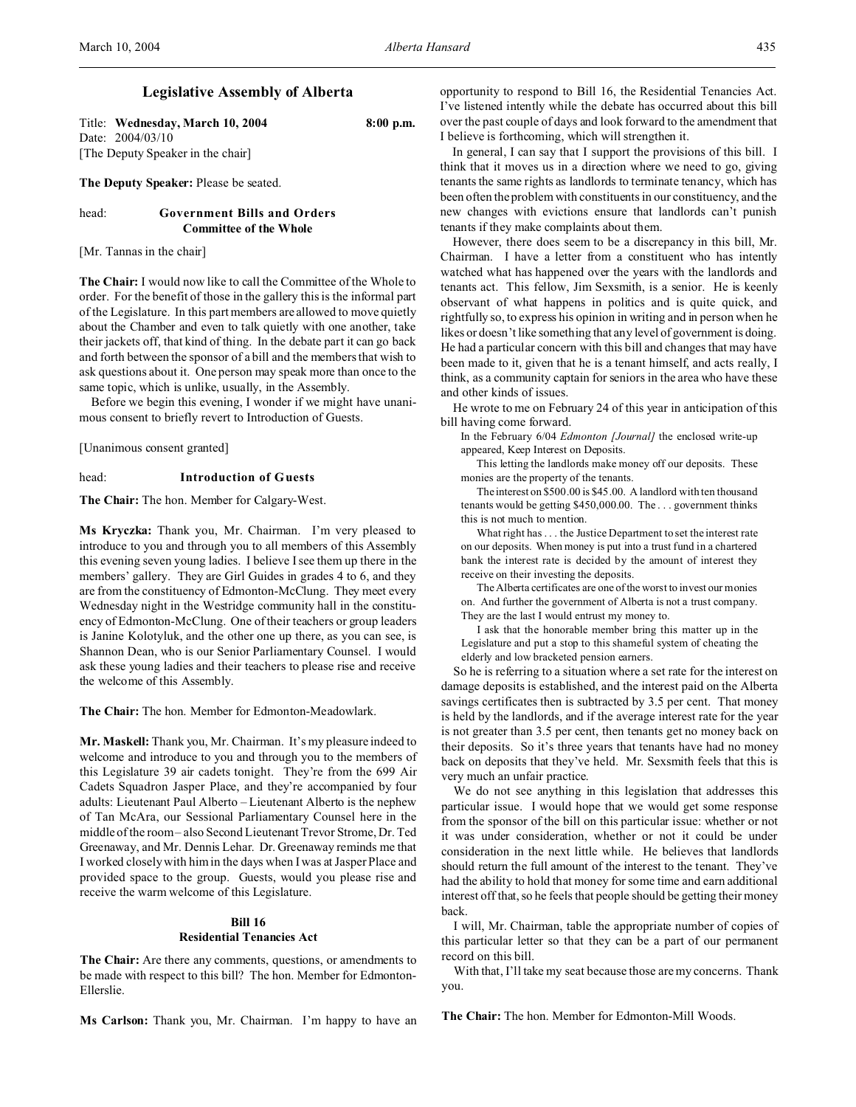# **Legislative Assembly of Alberta**

Title: **Wednesday, March 10, 2004 8:00 p.m.** Date: 2004/03/10 [The Deputy Speaker in the chair]

**The Deputy Speaker:** Please be seated.

## head: **Government Bills and Orders Committee of the Whole**

[Mr. Tannas in the chair]

**The Chair:** I would now like to call the Committee of the Whole to order. For the benefit of those in the gallery this is the informal part of the Legislature. In this part members are allowed to move quietly about the Chamber and even to talk quietly with one another, take their jackets off, that kind of thing. In the debate part it can go back and forth between the sponsor of a bill and the members that wish to ask questions about it. One person may speak more than once to the same topic, which is unlike, usually, in the Assembly.

Before we begin this evening, I wonder if we might have unanimous consent to briefly revert to Introduction of Guests.

[Unanimous consent granted]

#### head: **Introduction of Guests**

**The Chair:** The hon. Member for Calgary-West.

**Ms Kryczka:** Thank you, Mr. Chairman. I'm very pleased to introduce to you and through you to all members of this Assembly this evening seven young ladies. I believe I see them up there in the members' gallery. They are Girl Guides in grades 4 to 6, and they are from the constituency of Edmonton-McClung. They meet every Wednesday night in the Westridge community hall in the constituency of Edmonton-McClung. One of their teachers or group leaders is Janine Kolotyluk, and the other one up there, as you can see, is Shannon Dean, who is our Senior Parliamentary Counsel. I would ask these young ladies and their teachers to please rise and receive the welcome of this Assembly.

**The Chair:** The hon. Member for Edmonton-Meadowlark.

**Mr. Maskell:** Thank you, Mr. Chairman. It's my pleasure indeed to welcome and introduce to you and through you to the members of this Legislature 39 air cadets tonight. They're from the 699 Air Cadets Squadron Jasper Place, and they're accompanied by four adults: Lieutenant Paul Alberto – Lieutenant Alberto is the nephew of Tan McAra, our Sessional Parliamentary Counsel here in the middle of the room – also Second Lieutenant Trevor Strome, Dr. Ted Greenaway, and Mr. Dennis Lehar. Dr. Greenaway reminds me that I worked closely with him in the days when I was at Jasper Place and provided space to the group. Guests, would you please rise and receive the warm welcome of this Legislature.

## **Bill 16 Residential Tenancies Act**

**The Chair:** Are there any comments, questions, or amendments to be made with respect to this bill? The hon. Member for Edmonton-Ellerslie.

**Ms Carlson:** Thank you, Mr. Chairman. I'm happy to have an

opportunity to respond to Bill 16, the Residential Tenancies Act. I've listened intently while the debate has occurred about this bill over the past couple of days and look forward to the amendment that I believe is forthcoming, which will strengthen it.

In general, I can say that I support the provisions of this bill. I think that it moves us in a direction where we need to go, giving tenants the same rights as landlords to terminate tenancy, which has been often the problem with constituents in our constituency, and the new changes with evictions ensure that landlords can't punish tenants if they make complaints about them.

However, there does seem to be a discrepancy in this bill, Mr. Chairman. I have a letter from a constituent who has intently watched what has happened over the years with the landlords and tenants act. This fellow, Jim Sexsmith, is a senior. He is keenly observant of what happens in politics and is quite quick, and rightfully so, to express his opinion in writing and in person when he likes or doesn't like something that any level of government is doing. He had a particular concern with this bill and changes that may have been made to it, given that he is a tenant himself, and acts really, I think, as a community captain for seniors in the area who have these and other kinds of issues.

He wrote to me on February 24 of this year in anticipation of this bill having come forward.

In the February 6/04 *Edmonton [Journal]* the enclosed write-up appeared, Keep Interest on Deposits.

This letting the landlords make money off our deposits. These monies are the property of the tenants.

The interest on \$500.00 is \$45.00. A landlord with ten thousand tenants would be getting \$450,000.00. The . . . government thinks this is not much to mention.

What right has . . . the Justice Department to set the interest rate on our deposits. When money is put into a trust fund in a chartered bank the interest rate is decided by the amount of interest they receive on their investing the deposits.

The Alberta certificates are one of the worst to invest our monies on. And further the government of Alberta is not a trust company. They are the last I would entrust my money to.

I ask that the honorable member bring this matter up in the Legislature and put a stop to this shameful system of cheating the elderly and low bracketed pension earners.

So he is referring to a situation where a set rate for the interest on damage deposits is established, and the interest paid on the Alberta savings certificates then is subtracted by 3.5 per cent. That money is held by the landlords, and if the average interest rate for the year is not greater than 3.5 per cent, then tenants get no money back on their deposits. So it's three years that tenants have had no money back on deposits that they've held. Mr. Sexsmith feels that this is very much an unfair practice.

We do not see anything in this legislation that addresses this particular issue. I would hope that we would get some response from the sponsor of the bill on this particular issue: whether or not it was under consideration, whether or not it could be under consideration in the next little while. He believes that landlords should return the full amount of the interest to the tenant. They've had the ability to hold that money for some time and earn additional interest off that, so he feels that people should be getting their money back.

I will, Mr. Chairman, table the appropriate number of copies of this particular letter so that they can be a part of our permanent record on this bill.

With that, I'll take my seat because those are my concerns. Thank you.

**The Chair:** The hon. Member for Edmonton-Mill Woods.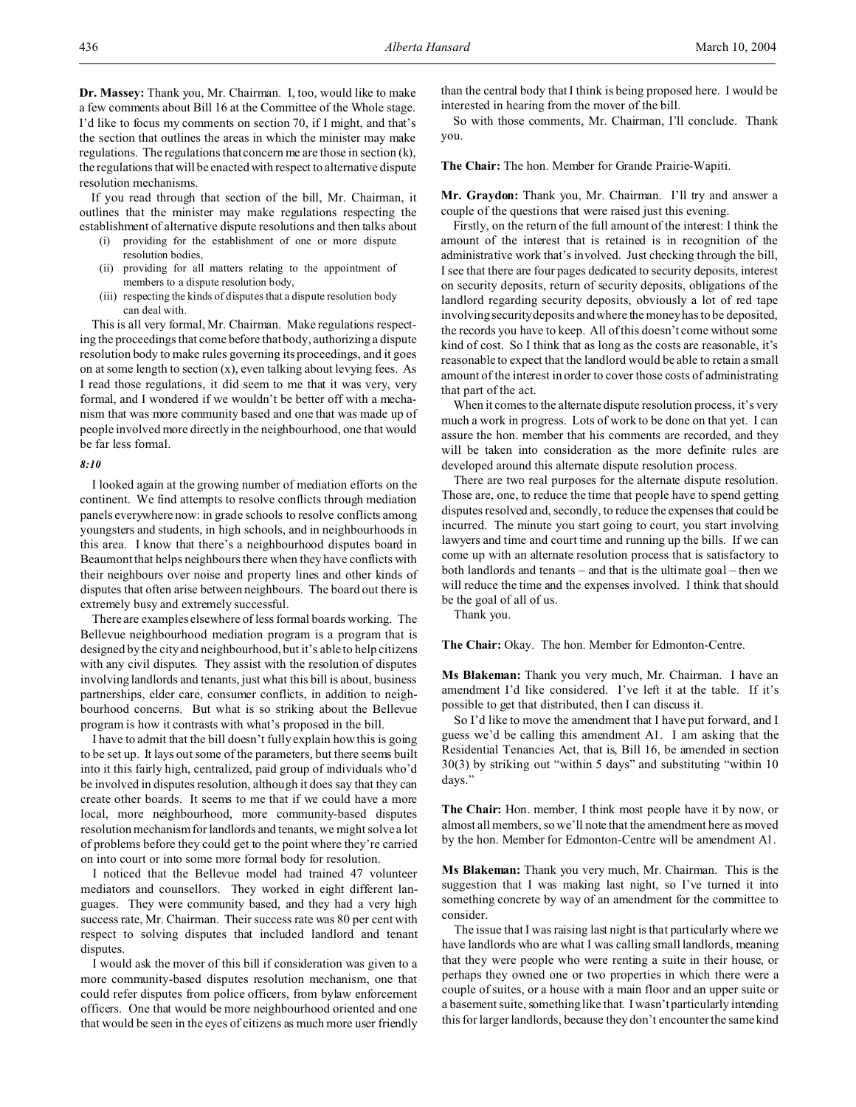**Dr. Massey:** Thank you, Mr. Chairman. I, too, would like to make a few comments about Bill 16 at the Committee of the Whole stage. I'd like to focus my comments on section 70, if I might, and that's the section that outlines the areas in which the minister may make regulations. The regulations that concern me are those in section (k), the regulations that will be enacted with respect to alternative dispute resolution mechanisms.

If you read through that section of the bill, Mr. Chairman, it outlines that the minister may make regulations respecting the establishment of alternative dispute resolutions and then talks about

- (i) providing for the establishment of one or more dispute resolution bodies,
- (ii) providing for all matters relating to the appointment of members to a dispute resolution body,
- (iii) respecting the kinds of disputes that a dispute resolution body can deal with.

This is all very formal, Mr. Chairman. Make regulations respecting the proceedings that come before that body, authorizing a dispute resolution body to make rules governing its proceedings, and it goes on at some length to section  $(x)$ , even talking about levying fees. As I read those regulations, it did seem to me that it was very, very formal, and I wondered if we wouldn't be better off with a mechanism that was more community based and one that was made up of people involved more directly in the neighbourhood, one that would be far less formal.

#### *8:10*

I looked again at the growing number of mediation efforts on the continent. We find attempts to resolve conflicts through mediation panels everywhere now: in grade schools to resolve conflicts among youngsters and students, in high schools, and in neighbourhoods in this area. I know that there's a neighbourhood disputes board in Beaumont that helps neighbours there when they have conflicts with their neighbours over noise and property lines and other kinds of disputes that often arise between neighbours. The board out there is extremely busy and extremely successful.

There are examples elsewhere of less formal boards working. The Bellevue neighbourhood mediation program is a program that is designed by the city and neighbourhood, but it's able to help citizens with any civil disputes. They assist with the resolution of disputes involving landlords and tenants, just what this bill is about, business partnerships, elder care, consumer conflicts, in addition to neighbourhood concerns. But what is so striking about the Bellevue program is how it contrasts with what's proposed in the bill.

I have to admit that the bill doesn't fully explain how this is going to be set up. It lays out some of the parameters, but there seems built into it this fairly high, centralized, paid group of individuals who'd be involved in disputes resolution, although it does say that they can create other boards. It seems to me that if we could have a more local, more neighbourhood, more community-based disputes resolution mechanism for landlords and tenants, we might solve a lot of problems before they could get to the point where they're carried on into court or into some more formal body for resolution.

I noticed that the Bellevue model had trained 47 volunteer mediators and counsellors. They worked in eight different languages. They were community based, and they had a very high success rate, Mr. Chairman. Their success rate was 80 per cent with respect to solving disputes that included landlord and tenant disputes.

I would ask the mover of this bill if consideration was given to a more community-based disputes resolution mechanism, one that could refer disputes from police officers, from bylaw enforcement officers. One that would be more neighbourhood oriented and one that would be seen in the eyes of citizens as much more user friendly

than the central body that I think is being proposed here. I would be interested in hearing from the mover of the bill.

So with those comments, Mr. Chairman, I'll conclude. Thank you.

**The Chair:** The hon. Member for Grande Prairie-Wapiti.

**Mr. Graydon:** Thank you, Mr. Chairman. I'll try and answer a couple of the questions that were raised just this evening.

Firstly, on the return of the full amount of the interest: I think the amount of the interest that is retained is in recognition of the administrative work that's involved. Just checking through the bill, I see that there are four pages dedicated to security deposits, interest on security deposits, return of security deposits, obligations of the landlord regarding security deposits, obviously a lot of red tape involving security deposits and where the money has to be deposited, the records you have to keep. All of this doesn't come without some kind of cost. So I think that as long as the costs are reasonable, it's reasonable to expect that the landlord would be able to retain a small amount of the interest in order to cover those costs of administrating that part of the act.

When it comes to the alternate dispute resolution process, it's very much a work in progress. Lots of work to be done on that yet. I can assure the hon. member that his comments are recorded, and they will be taken into consideration as the more definite rules are developed around this alternate dispute resolution process.

There are two real purposes for the alternate dispute resolution. Those are, one, to reduce the time that people have to spend getting disputes resolved and, secondly, to reduce the expenses that could be incurred. The minute you start going to court, you start involving lawyers and time and court time and running up the bills. If we can come up with an alternate resolution process that is satisfactory to both landlords and tenants – and that is the ultimate goal – then we will reduce the time and the expenses involved. I think that should be the goal of all of us.

Thank you.

**The Chair:** Okay. The hon. Member for Edmonton-Centre.

**Ms Blakeman:** Thank you very much, Mr. Chairman. I have an amendment I'd like considered. I've left it at the table. If it's possible to get that distributed, then I can discuss it.

So I'd like to move the amendment that I have put forward, and I guess we'd be calling this amendment A1. I am asking that the Residential Tenancies Act, that is, Bill 16, be amended in section 30(3) by striking out "within 5 days" and substituting "within 10 days."

**The Chair:** Hon. member, I think most people have it by now, or almost all members, so we'll note that the amendment here as moved by the hon. Member for Edmonton-Centre will be amendment A1.

**Ms Blakeman:** Thank you very much, Mr. Chairman. This is the suggestion that I was making last night, so I've turned it into something concrete by way of an amendment for the committee to consider.

The issue that I was raising last night is that particularly where we have landlords who are what I was calling small landlords, meaning that they were people who were renting a suite in their house, or perhaps they owned one or two properties in which there were a couple of suites, or a house with a main floor and an upper suite or a basement suite, something like that. I wasn't particularly intending this for larger landlords, because they don't encounter the same kind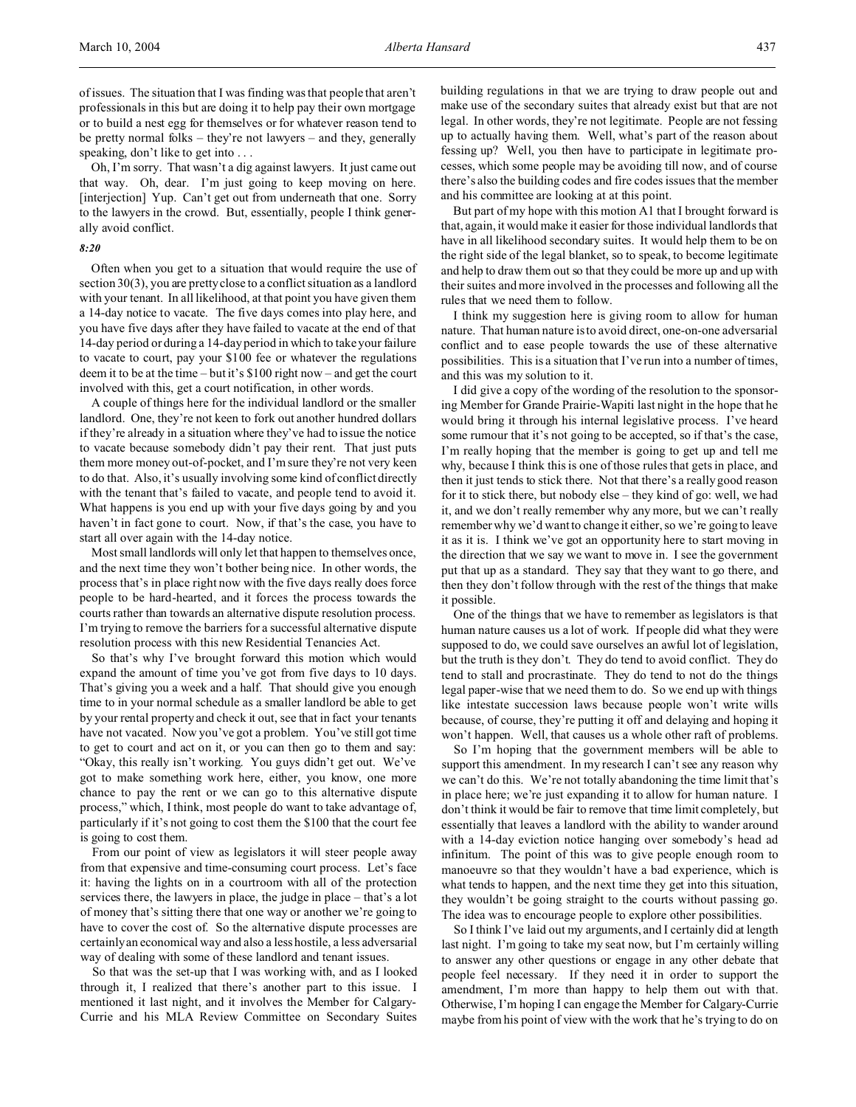of issues. The situation that I was finding was that people that aren't professionals in this but are doing it to help pay their own mortgage or to build a nest egg for themselves or for whatever reason tend to be pretty normal folks – they're not lawyers – and they, generally speaking, don't like to get into . . .

Oh, I'm sorry. That wasn't a dig against lawyers. It just came out that way. Oh, dear. I'm just going to keep moving on here. [interjection] Yup. Can't get out from underneath that one. Sorry to the lawyers in the crowd. But, essentially, people I think generally avoid conflict.

## *8:20*

Often when you get to a situation that would require the use of section 30(3), you are pretty close to a conflict situation as a landlord with your tenant. In all likelihood, at that point you have given them a 14-day notice to vacate. The five days comes into play here, and you have five days after they have failed to vacate at the end of that 14-day period or during a 14-day period in which to take your failure to vacate to court, pay your \$100 fee or whatever the regulations deem it to be at the time – but it's \$100 right now – and get the court involved with this, get a court notification, in other words.

A couple of things here for the individual landlord or the smaller landlord. One, they're not keen to fork out another hundred dollars if they're already in a situation where they've had to issue the notice to vacate because somebody didn't pay their rent. That just puts them more money out-of-pocket, and I'm sure they're not very keen to do that. Also, it's usually involving some kind of conflict directly with the tenant that's failed to vacate, and people tend to avoid it. What happens is you end up with your five days going by and you haven't in fact gone to court. Now, if that's the case, you have to start all over again with the 14-day notice.

Most small landlords will only let that happen to themselves once, and the next time they won't bother being nice. In other words, the process that's in place right now with the five days really does force people to be hard-hearted, and it forces the process towards the courts rather than towards an alternative dispute resolution process. I'm trying to remove the barriers for a successful alternative dispute resolution process with this new Residential Tenancies Act.

So that's why I've brought forward this motion which would expand the amount of time you've got from five days to 10 days. That's giving you a week and a half. That should give you enough time to in your normal schedule as a smaller landlord be able to get by your rental property and check it out, see that in fact your tenants have not vacated. Now you've got a problem. You've still got time to get to court and act on it, or you can then go to them and say: "Okay, this really isn't working. You guys didn't get out. We've got to make something work here, either, you know, one more chance to pay the rent or we can go to this alternative dispute process," which, I think, most people do want to take advantage of, particularly if it's not going to cost them the \$100 that the court fee is going to cost them.

From our point of view as legislators it will steer people away from that expensive and time-consuming court process. Let's face it: having the lights on in a courtroom with all of the protection services there, the lawyers in place, the judge in place – that's a lot of money that's sitting there that one way or another we're going to have to cover the cost of. So the alternative dispute processes are certainly an economical way and also a less hostile, a less adversarial way of dealing with some of these landlord and tenant issues.

So that was the set-up that I was working with, and as I looked through it, I realized that there's another part to this issue. I mentioned it last night, and it involves the Member for Calgary-Currie and his MLA Review Committee on Secondary Suites

building regulations in that we are trying to draw people out and make use of the secondary suites that already exist but that are not legal. In other words, they're not legitimate. People are not fessing up to actually having them. Well, what's part of the reason about fessing up? Well, you then have to participate in legitimate processes, which some people may be avoiding till now, and of course there's also the building codes and fire codes issues that the member and his committee are looking at at this point.

But part of my hope with this motion A1 that I brought forward is that, again, it would make it easier for those individual landlords that have in all likelihood secondary suites. It would help them to be on the right side of the legal blanket, so to speak, to become legitimate and help to draw them out so that they could be more up and up with their suites and more involved in the processes and following all the rules that we need them to follow.

I think my suggestion here is giving room to allow for human nature. That human nature is to avoid direct, one-on-one adversarial conflict and to ease people towards the use of these alternative possibilities. This is a situation that I've run into a number of times, and this was my solution to it.

I did give a copy of the wording of the resolution to the sponsoring Member for Grande Prairie-Wapiti last night in the hope that he would bring it through his internal legislative process. I've heard some rumour that it's not going to be accepted, so if that's the case, I'm really hoping that the member is going to get up and tell me why, because I think this is one of those rules that gets in place, and then it just tends to stick there. Not that there's a really good reason for it to stick there, but nobody else – they kind of go: well, we had it, and we don't really remember why any more, but we can't really remember why we'd want to change it either, so we're going to leave it as it is. I think we've got an opportunity here to start moving in the direction that we say we want to move in. I see the government put that up as a standard. They say that they want to go there, and then they don't follow through with the rest of the things that make it possible.

One of the things that we have to remember as legislators is that human nature causes us a lot of work. If people did what they were supposed to do, we could save ourselves an awful lot of legislation, but the truth is they don't. They do tend to avoid conflict. They do tend to stall and procrastinate. They do tend to not do the things legal paper-wise that we need them to do. So we end up with things like intestate succession laws because people won't write wills because, of course, they're putting it off and delaying and hoping it won't happen. Well, that causes us a whole other raft of problems.

So I'm hoping that the government members will be able to support this amendment. In my research I can't see any reason why we can't do this. We're not totally abandoning the time limit that's in place here; we're just expanding it to allow for human nature. I don't think it would be fair to remove that time limit completely, but essentially that leaves a landlord with the ability to wander around with a 14-day eviction notice hanging over somebody's head ad infinitum. The point of this was to give people enough room to manoeuvre so that they wouldn't have a bad experience, which is what tends to happen, and the next time they get into this situation, they wouldn't be going straight to the courts without passing go. The idea was to encourage people to explore other possibilities.

So I think I've laid out my arguments, and I certainly did at length last night. I'm going to take my seat now, but I'm certainly willing to answer any other questions or engage in any other debate that people feel necessary. If they need it in order to support the amendment, I'm more than happy to help them out with that. Otherwise, I'm hoping I can engage the Member for Calgary-Currie maybe from his point of view with the work that he's trying to do on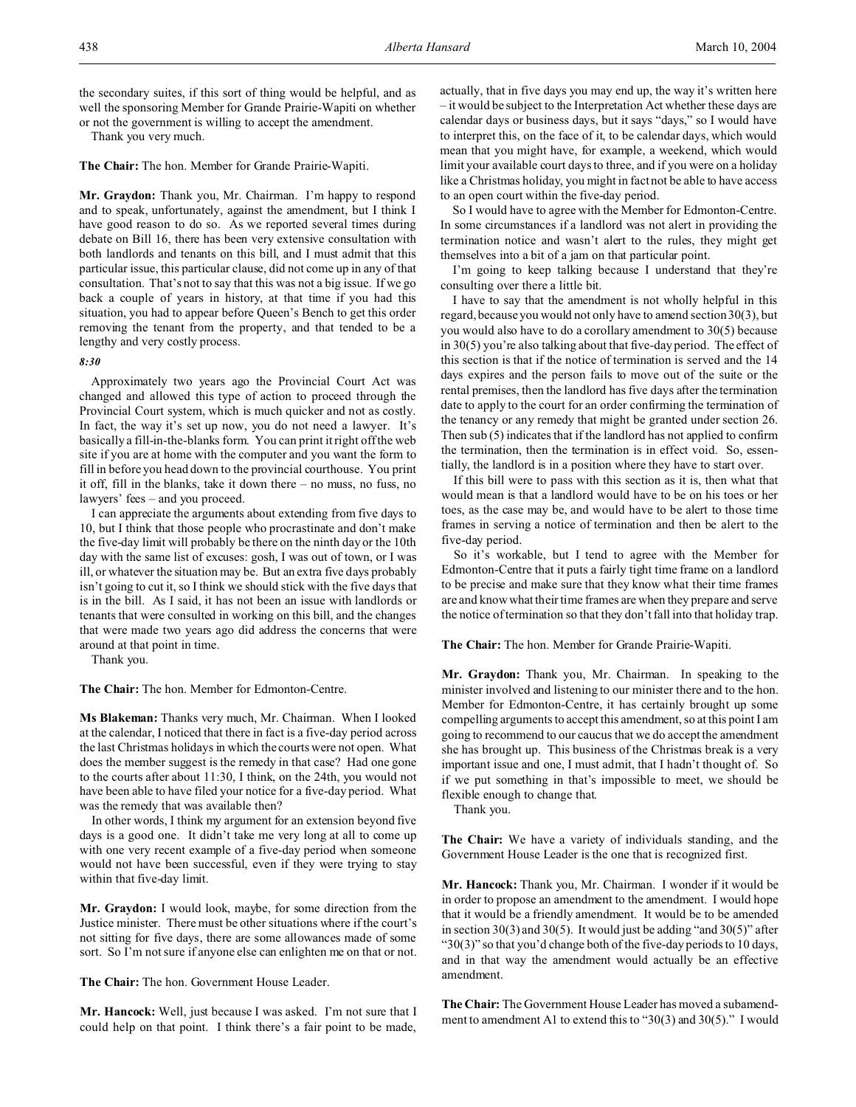the secondary suites, if this sort of thing would be helpful, and as well the sponsoring Member for Grande Prairie-Wapiti on whether or not the government is willing to accept the amendment.

Thank you very much.

**The Chair:** The hon. Member for Grande Prairie-Wapiti.

**Mr. Graydon:** Thank you, Mr. Chairman. I'm happy to respond and to speak, unfortunately, against the amendment, but I think I have good reason to do so. As we reported several times during debate on Bill 16, there has been very extensive consultation with both landlords and tenants on this bill, and I must admit that this particular issue, this particular clause, did not come up in any of that consultation. That's not to say that this was not a big issue. If we go back a couple of years in history, at that time if you had this situation, you had to appear before Queen's Bench to get this order removing the tenant from the property, and that tended to be a lengthy and very costly process.

#### *8:30*

Approximately two years ago the Provincial Court Act was changed and allowed this type of action to proceed through the Provincial Court system, which is much quicker and not as costly. In fact, the way it's set up now, you do not need a lawyer. It's basically a fill-in-the-blanks form. You can print it right off the web site if you are at home with the computer and you want the form to fill in before you head down to the provincial courthouse. You print it off, fill in the blanks, take it down there – no muss, no fuss, no lawyers' fees – and you proceed.

I can appreciate the arguments about extending from five days to 10, but I think that those people who procrastinate and don't make the five-day limit will probably be there on the ninth day or the 10th day with the same list of excuses: gosh, I was out of town, or I was ill, or whatever the situation may be. But an extra five days probably isn't going to cut it, so I think we should stick with the five days that is in the bill. As I said, it has not been an issue with landlords or tenants that were consulted in working on this bill, and the changes that were made two years ago did address the concerns that were around at that point in time.

Thank you.

**The Chair:** The hon. Member for Edmonton-Centre.

**Ms Blakeman:** Thanks very much, Mr. Chairman. When I looked at the calendar, I noticed that there in fact is a five-day period across the last Christmas holidays in which the courts were not open. What does the member suggest is the remedy in that case? Had one gone to the courts after about 11:30, I think, on the 24th, you would not have been able to have filed your notice for a five-day period. What was the remedy that was available then?

In other words, I think my argument for an extension beyond five days is a good one. It didn't take me very long at all to come up with one very recent example of a five-day period when someone would not have been successful, even if they were trying to stay within that five-day limit.

**Mr. Graydon:** I would look, maybe, for some direction from the Justice minister. There must be other situations where if the court's not sitting for five days, there are some allowances made of some sort. So I'm not sure if anyone else can enlighten me on that or not.

**The Chair:** The hon. Government House Leader.

**Mr. Hancock:** Well, just because I was asked. I'm not sure that I could help on that point. I think there's a fair point to be made,

actually, that in five days you may end up, the way it's written here – it would be subject to the Interpretation Act whether these days are calendar days or business days, but it says "days," so I would have to interpret this, on the face of it, to be calendar days, which would mean that you might have, for example, a weekend, which would limit your available court days to three, and if you were on a holiday like a Christmas holiday, you might in fact not be able to have access to an open court within the five-day period.

So I would have to agree with the Member for Edmonton-Centre. In some circumstances if a landlord was not alert in providing the termination notice and wasn't alert to the rules, they might get themselves into a bit of a jam on that particular point.

I'm going to keep talking because I understand that they're consulting over there a little bit.

I have to say that the amendment is not wholly helpful in this regard, because you would not only have to amend section 30(3), but you would also have to do a corollary amendment to 30(5) because in 30(5) you're also talking about that five-day period. The effect of this section is that if the notice of termination is served and the 14 days expires and the person fails to move out of the suite or the rental premises, then the landlord has five days after the termination date to apply to the court for an order confirming the termination of the tenancy or any remedy that might be granted under section 26. Then sub (5) indicates that if the landlord has not applied to confirm the termination, then the termination is in effect void. So, essentially, the landlord is in a position where they have to start over.

If this bill were to pass with this section as it is, then what that would mean is that a landlord would have to be on his toes or her toes, as the case may be, and would have to be alert to those time frames in serving a notice of termination and then be alert to the five-day period.

So it's workable, but I tend to agree with the Member for Edmonton-Centre that it puts a fairly tight time frame on a landlord to be precise and make sure that they know what their time frames are and know what their time frames are when they prepare and serve the notice of termination so that they don't fall into that holiday trap.

**The Chair:** The hon. Member for Grande Prairie-Wapiti.

**Mr. Graydon:** Thank you, Mr. Chairman. In speaking to the minister involved and listening to our minister there and to the hon. Member for Edmonton-Centre, it has certainly brought up some compelling arguments to accept this amendment, so at this point I am going to recommend to our caucus that we do accept the amendment she has brought up. This business of the Christmas break is a very important issue and one, I must admit, that I hadn't thought of. So if we put something in that's impossible to meet, we should be flexible enough to change that.

Thank you.

**The Chair:** We have a variety of individuals standing, and the Government House Leader is the one that is recognized first.

**Mr. Hancock:** Thank you, Mr. Chairman. I wonder if it would be in order to propose an amendment to the amendment. I would hope that it would be a friendly amendment. It would be to be amended in section 30(3) and 30(5). It would just be adding "and 30(5)" after " $30(3)$ " so that you'd change both of the five-day periods to 10 days, and in that way the amendment would actually be an effective amendment.

**The Chair:** The Government House Leader has moved a subamendment to amendment A1 to extend this to "30(3) and 30(5)." I would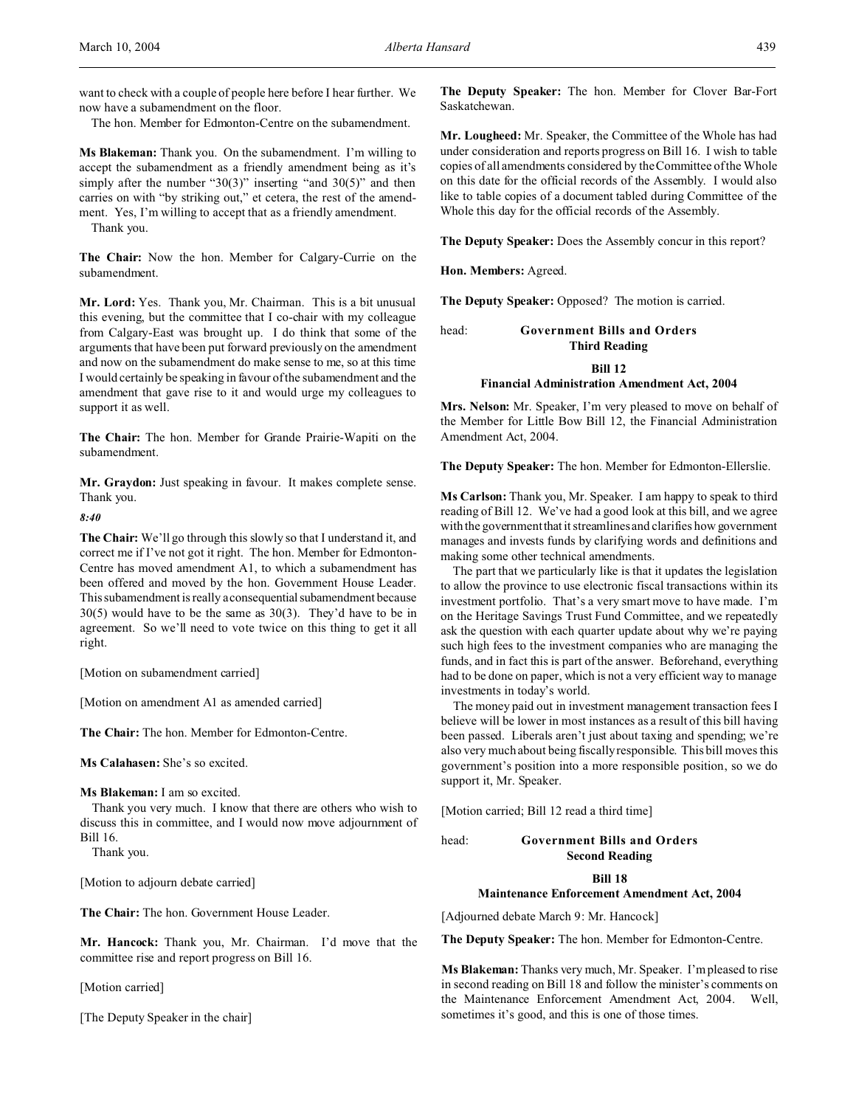want to check with a couple of people here before I hear further. We now have a subamendment on the floor.

The hon. Member for Edmonton-Centre on the subamendment.

**Ms Blakeman:** Thank you. On the subamendment. I'm willing to accept the subamendment as a friendly amendment being as it's simply after the number "30(3)" inserting "and 30(5)" and then carries on with "by striking out," et cetera, the rest of the amendment. Yes, I'm willing to accept that as a friendly amendment.

Thank you.

**The Chair:** Now the hon. Member for Calgary-Currie on the subamendment.

**Mr. Lord:** Yes. Thank you, Mr. Chairman. This is a bit unusual this evening, but the committee that I co-chair with my colleague from Calgary-East was brought up. I do think that some of the arguments that have been put forward previously on the amendment and now on the subamendment do make sense to me, so at this time I would certainly be speaking in favour of the subamendment and the amendment that gave rise to it and would urge my colleagues to support it as well.

**The Chair:** The hon. Member for Grande Prairie-Wapiti on the subamendment.

**Mr. Graydon:** Just speaking in favour. It makes complete sense. Thank you.

*8:40*

**The Chair:** We'll go through this slowly so that I understand it, and correct me if I've not got it right. The hon. Member for Edmonton-Centre has moved amendment A1, to which a subamendment has been offered and moved by the hon. Government House Leader. This subamendment is really a consequential subamendment because 30(5) would have to be the same as 30(3). They'd have to be in agreement. So we'll need to vote twice on this thing to get it all right.

[Motion on subamendment carried]

[Motion on amendment A1 as amended carried]

**The Chair:** The hon. Member for Edmonton-Centre.

**Ms Calahasen:** She's so excited.

**Ms Blakeman:** I am so excited.

Thank you very much. I know that there are others who wish to discuss this in committee, and I would now move adjournment of Bill 16.

Thank you.

[Motion to adjourn debate carried]

**The Chair:** The hon. Government House Leader.

**Mr. Hancock:** Thank you, Mr. Chairman. I'd move that the committee rise and report progress on Bill 16.

[Motion carried]

[The Deputy Speaker in the chair]

**The Deputy Speaker:** The hon. Member for Clover Bar-Fort Saskatchewan.

**Mr. Lougheed:** Mr. Speaker, the Committee of the Whole has had under consideration and reports progress on Bill 16. I wish to table copies of all amendments considered by the Committee of the Whole on this date for the official records of the Assembly. I would also like to table copies of a document tabled during Committee of the Whole this day for the official records of the Assembly.

**The Deputy Speaker:** Does the Assembly concur in this report?

**Hon. Members:** Agreed.

**The Deputy Speaker:** Opposed? The motion is carried.

# head: **Government Bills and Orders Third Reading Bill 12 Financial Administration Amendment Act, 2004**

**Mrs. Nelson:** Mr. Speaker, I'm very pleased to move on behalf of the Member for Little Bow Bill 12, the Financial Administration Amendment Act, 2004.

**The Deputy Speaker:** The hon. Member for Edmonton-Ellerslie.

**Ms Carlson:** Thank you, Mr. Speaker. I am happy to speak to third reading of Bill 12. We've had a good look at this bill, and we agree with the government that it streamlines and clarifies how government manages and invests funds by clarifying words and definitions and making some other technical amendments.

The part that we particularly like is that it updates the legislation to allow the province to use electronic fiscal transactions within its investment portfolio. That's a very smart move to have made. I'm on the Heritage Savings Trust Fund Committee, and we repeatedly ask the question with each quarter update about why we're paying such high fees to the investment companies who are managing the funds, and in fact this is part of the answer. Beforehand, everything had to be done on paper, which is not a very efficient way to manage investments in today's world.

The money paid out in investment management transaction fees I believe will be lower in most instances as a result of this bill having been passed. Liberals aren't just about taxing and spending; we're also very much about being fiscally responsible. This bill moves this government's position into a more responsible position, so we do support it, Mr. Speaker.

[Motion carried; Bill 12 read a third time]

head: **Government Bills and Orders**

**Second Reading**

**Bill 18**

## **Maintenance Enforcement Amendment Act, 2004**

[Adjourned debate March 9: Mr. Hancock]

**The Deputy Speaker:** The hon. Member for Edmonton-Centre.

**Ms Blakeman:** Thanks very much, Mr. Speaker. I'm pleased to rise in second reading on Bill 18 and follow the minister's comments on the Maintenance Enforcement Amendment Act, 2004. Well, sometimes it's good, and this is one of those times.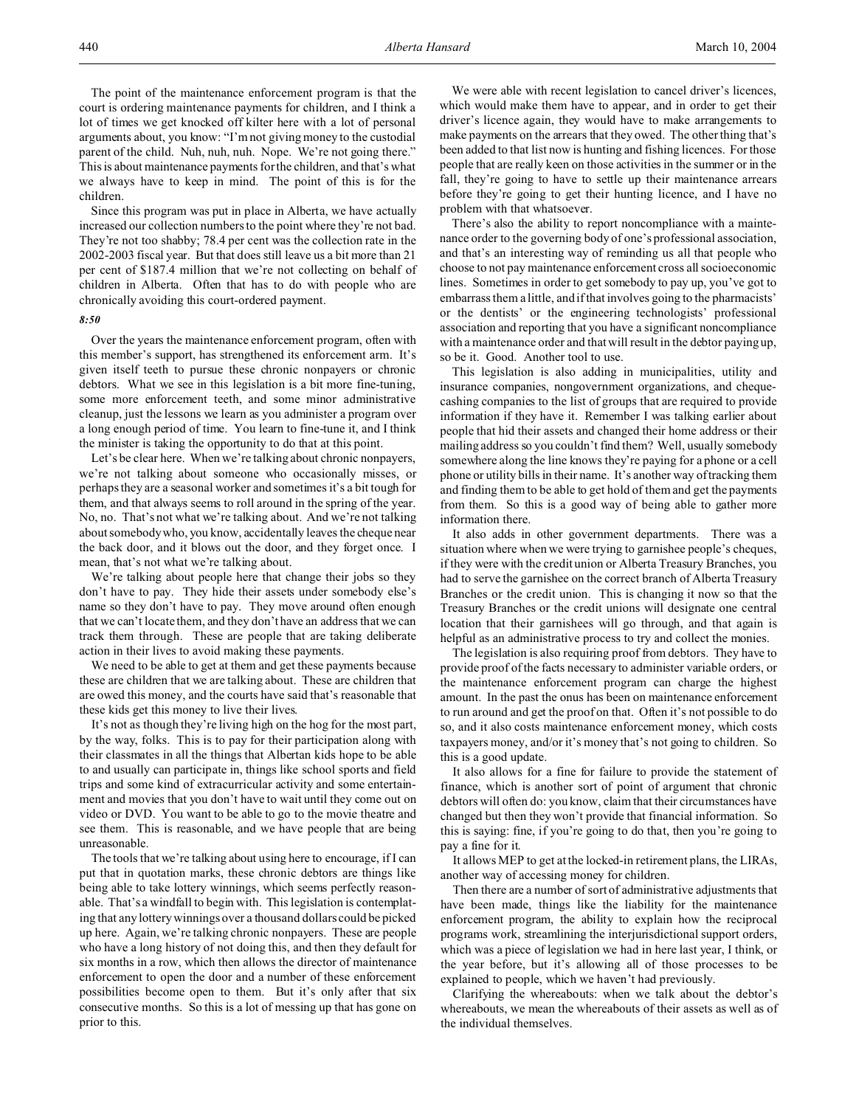Since this program was put in place in Alberta, we have actually increased our collection numbers to the point where they're not bad. They're not too shabby; 78.4 per cent was the collection rate in the 2002-2003 fiscal year. But that does still leave us a bit more than 21 per cent of \$187.4 million that we're not collecting on behalf of children in Alberta. Often that has to do with people who are chronically avoiding this court-ordered payment.

### *8:50*

Over the years the maintenance enforcement program, often with this member's support, has strengthened its enforcement arm. It's given itself teeth to pursue these chronic nonpayers or chronic debtors. What we see in this legislation is a bit more fine-tuning, some more enforcement teeth, and some minor administrative cleanup, just the lessons we learn as you administer a program over a long enough period of time. You learn to fine-tune it, and I think the minister is taking the opportunity to do that at this point.

Let's be clear here. When we're talking about chronic nonpayers, we're not talking about someone who occasionally misses, or perhaps they are a seasonal worker and sometimes it's a bit tough for them, and that always seems to roll around in the spring of the year. No, no. That's not what we're talking about. And we're not talking about somebody who, you know, accidentally leaves the cheque near the back door, and it blows out the door, and they forget once. I mean, that's not what we're talking about.

We're talking about people here that change their jobs so they don't have to pay. They hide their assets under somebody else's name so they don't have to pay. They move around often enough that we can't locate them, and they don't have an address that we can track them through. These are people that are taking deliberate action in their lives to avoid making these payments.

We need to be able to get at them and get these payments because these are children that we are talking about. These are children that are owed this money, and the courts have said that's reasonable that these kids get this money to live their lives.

It's not as though they're living high on the hog for the most part, by the way, folks. This is to pay for their participation along with their classmates in all the things that Albertan kids hope to be able to and usually can participate in, things like school sports and field trips and some kind of extracurricular activity and some entertainment and movies that you don't have to wait until they come out on video or DVD. You want to be able to go to the movie theatre and see them. This is reasonable, and we have people that are being unreasonable.

The tools that we're talking about using here to encourage, if I can put that in quotation marks, these chronic debtors are things like being able to take lottery winnings, which seems perfectly reasonable. That's a windfall to begin with. This legislation is contemplating that any lottery winnings over a thousand dollars could be picked up here. Again, we're talking chronic nonpayers. These are people who have a long history of not doing this, and then they default for six months in a row, which then allows the director of maintenance enforcement to open the door and a number of these enforcement possibilities become open to them. But it's only after that six consecutive months. So this is a lot of messing up that has gone on prior to this.

We were able with recent legislation to cancel driver's licences, which would make them have to appear, and in order to get their driver's licence again, they would have to make arrangements to make payments on the arrears that they owed. The other thing that's been added to that list now is hunting and fishing licences. For those people that are really keen on those activities in the summer or in the fall, they're going to have to settle up their maintenance arrears before they're going to get their hunting licence, and I have no problem with that whatsoever.

There's also the ability to report noncompliance with a maintenance order to the governing body of one's professional association, and that's an interesting way of reminding us all that people who choose to not pay maintenance enforcement cross all socioeconomic lines. Sometimes in order to get somebody to pay up, you've got to embarrass them a little, and if that involves going to the pharmacists' or the dentists' or the engineering technologists' professional association and reporting that you have a significant noncompliance with a maintenance order and that will result in the debtor paying up, so be it. Good. Another tool to use.

This legislation is also adding in municipalities, utility and insurance companies, nongovernment organizations, and chequecashing companies to the list of groups that are required to provide information if they have it. Remember I was talking earlier about people that hid their assets and changed their home address or their mailing address so you couldn't find them? Well, usually somebody somewhere along the line knows they're paying for a phone or a cell phone or utility bills in their name. It's another way of tracking them and finding them to be able to get hold of them and get the payments from them. So this is a good way of being able to gather more information there.

It also adds in other government departments. There was a situation where when we were trying to garnishee people's cheques, if they were with the credit union or Alberta Treasury Branches, you had to serve the garnishee on the correct branch of Alberta Treasury Branches or the credit union. This is changing it now so that the Treasury Branches or the credit unions will designate one central location that their garnishees will go through, and that again is helpful as an administrative process to try and collect the monies.

The legislation is also requiring proof from debtors. They have to provide proof of the facts necessary to administer variable orders, or the maintenance enforcement program can charge the highest amount. In the past the onus has been on maintenance enforcement to run around and get the proof on that. Often it's not possible to do so, and it also costs maintenance enforcement money, which costs taxpayers money, and/or it's money that's not going to children. So this is a good update.

It also allows for a fine for failure to provide the statement of finance, which is another sort of point of argument that chronic debtors will often do: you know, claim that their circumstances have changed but then they won't provide that financial information. So this is saying: fine, if you're going to do that, then you're going to pay a fine for it.

It allows MEP to get at the locked-in retirement plans, the LIRAs, another way of accessing money for children.

Then there are a number of sort of administrative adjustments that have been made, things like the liability for the maintenance enforcement program, the ability to explain how the reciprocal programs work, streamlining the interjurisdictional support orders, which was a piece of legislation we had in here last year, I think, or the year before, but it's allowing all of those processes to be explained to people, which we haven't had previously.

Clarifying the whereabouts: when we talk about the debtor's whereabouts, we mean the whereabouts of their assets as well as of the individual themselves.